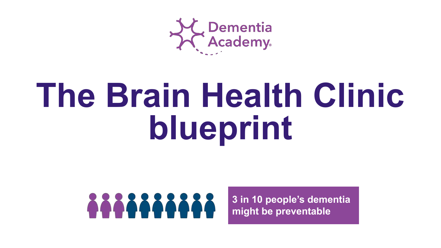

# **The Brain Health Clinic blueprint**



**[3 in 10 people's dementia](#page-5-0)  might be preventable**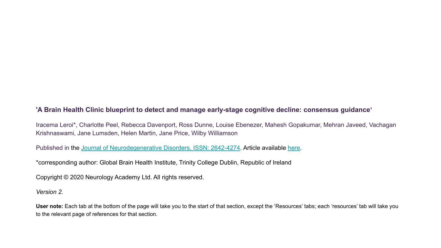### **'A Brain Health Clinic blueprint to detect and manage early-stage cognitive decline: consensus guidance'**

Iracema Leroi\*, Charlotte Peel, Rebecca Davenport, Ross Dunne, Louise Ebenezer, Mahesh Gopakumar, Mehran Javeed, Vachagan Krishnaswami, Jane Lumsden, Helen Martin, Jane Price, Wilby Williamson

Published in the [Journal of Neurodegenerative Disorders, ISSN: 2642-4274](https://scholars.direct/journal.php?jid=neurodegenerative-disorders). Article available [here.](https://scholars.direct/Articles/neurodegenerative-disorders/jnd-3-012.php?jid=neurodegenerative-disorders)

\*corresponding author: Global Brain Health Institute, Trinity College Dublin, Republic of Ireland

Copyright © 2020 Neurology Academy Ltd. All rights reserved.

*Version 2.*

**User note:** Each tab at the bottom of the page will take you to the start of that section, except the 'Resources' tabs; each 'resources' tab will take you to the relevant page of references for that section.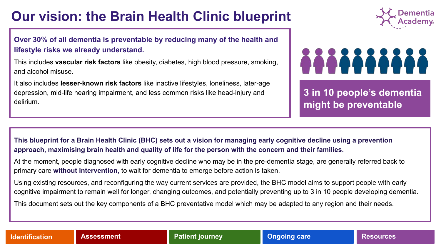## **Our vision: the Brain Health Clinic blueprint**

**[Over 30% of all dementia is preventable by reducing many of the health and](#page-4-0)  lifestyle risks we already understand.**

This includes **vascular risk factors** like obesity, diabetes, high blood pressure, smoking, and alcohol misuse.

It also includes **lesser-known risk factors** like inactive lifestyles, loneliness, later-age depression, mid-life hearing impairment, and less common risks like head-injury and delirium.



## 8888888888

**[3 in 10 people's dementia](#page-5-0)  might be preventable**

**This blueprint for a Brain Health Clinic (BHC) sets out a vision for managing early cognitive decline using a prevention approach, maximising brain health and quality of life for the person with the concern and their families.** 

At the moment, people diagnosed with early cognitive decline who may be in the pre-dementia stage, are generally referred back to primary care **without intervention**, to wait for dementia to emerge before action is taken.

Using existing resources, and reconfiguring the way current services are provided, the BHC model aims to support people with early [cognitive impairment to remain well for longer, changing outcomes, and potentially preventing up to 3 in 10 people developing dementia.](#page-4-0)

This document sets out the key components of a BHC preventative model which may be adapted to any region and their needs.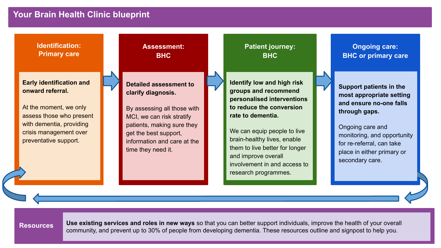### **Your Brain Health Clinic blueprint**

**Ongoing care: BHC or primary care Patient journey: BHC Identification: Primary care Assessment: BHC Early identification and onward referral.** At the moment, we only [assess those who present](#page-4-0)  with dementia, providing crisis management over preventative support. **Detailed assessment to clarify diagnosis.**  [By assessing all those with](#page-6-0)  MCI, we can risk stratify patients, making sure they get the best support, information and care at the time they need it. **Identify low and high risk groups and recommend personalised interventions to reduce the conversion rate to dementia.**  We can equip people to live brain-healthy lives, enable them to live better for longer and improve overall [involvement in and access to](#page-11-0)  research programmes. **Support patients in the most appropriate setting and ensure no-one falls through gaps.**  Ongoing care and [monitoring, and opportunity](#page-16-0)  for re-referral, can take place in either primary or secondary care.

**Resources Use existing services and roles in new ways** so that you can better support individuals, improve the health of your overall [community, and prevent up to 30% of people from developing dementia. These resources outline and signpost to help you.](#page-23-0)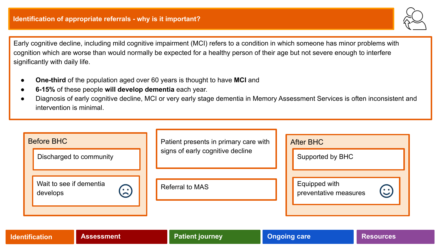

<span id="page-4-0"></span>Early cognitive decline, including mild cognitive impairment (MCI) refers to a condition in which someone has minor problems with cognition which are worse than would normally be expected for a healthy person of their age but not severe enough to interfere significantly with daily life.

- **One-third** of the population aged over 60 years is thought to have **MCI** and
- **6-15%** of these people **will develop dementia** each year.
- Diagnosis of early cognitive decline, MCI or very early stage dementia in Memory Assessment Services is often inconsistent and intervention is minimal.

| <b>Before BHC</b>                               | Patient presents in primary care with | <b>After BHC</b>                                  |  |  |  |
|-------------------------------------------------|---------------------------------------|---------------------------------------------------|--|--|--|
| Discharged to community                         | signs of early cognitive decline      | Supported by BHC                                  |  |  |  |
| Wait to see if dementia<br><u>ි</u><br>develops | Referral to MAS                       | Equipped with<br>$\odot$<br>preventative measures |  |  |  |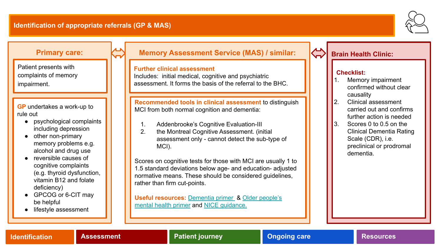

### <span id="page-5-0"></span>**Primary care:**

Patient presents with complaints of memory impairment.

**GP** undertakes a work-up to rule out

- psychological complaints including depression
- other non-primary memory problems e.g. alcohol and drug use
- reversible causes of cognitive complaints (e.g. thyroid dysfunction, vitamin B12 and folate deficiency)
- GPCOG or 6-CIT may be helpful
- lifestyle assessment

### **Memory Assessment Service (MAS) / similar:**

### **Further clinical assessment**

Includes: initial medical, cognitive and psychiatric assessment. It forms the basis of the referral to the BHC.

**Recommended tools in clinical assessment** to distinguish MCI from both normal cognition and dementia:

- 1. Addenbrooke's Cognitive Evaluation-III
- 2. the Montreal Cognitive Assessment. (initial assessment only - cannot detect the sub-type of MCI).

Scores on cognitive tests for those with MCI are usually 1 to 1.5 standard deviations below age- and education- adjusted normative means. These should be considered guidelines, rather than firm cut-points.

**Useful resources:** [Dementia primer](https://www.england.nhs.uk/blog/alistair-burns-18/) & [Older people's](https://www.england.nhs.uk/wp-content/uploads/2017/09/practice-primer.pdf) [mental health primer](https://www.england.nhs.uk/wp-content/uploads/2017/09/practice-primer.pdf) and [NICE guidance.](https://www.nice.org.uk/guidance/ng97/chapter/Recommendations#diagnosis)

### **Brain Health Clinic:**

### **Checklist:**

- Memory impairment confirmed without clear causality
- 2. Clinical assessment carried out and confirms further action is needed
- 3. Scores 0 to 0.5 on the Clinical Dementia Rating Scale (CDR), i.e. preclinical or prodromal dementia.

**[Identification](#page-4-0) [Assessment](#page-6-0) [Patient journey](#page-11-0) [Ongoing care](#page-16-0) [Resources](#page-23-0)**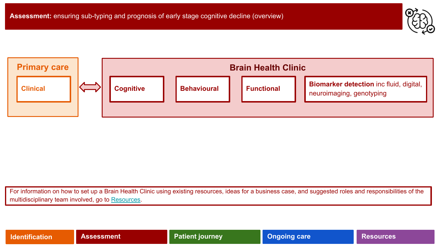<span id="page-6-0"></span>

For information on how to set up a Brain Health Clinic using existing resources, ideas for a business case, and suggested roles and responsibilities of the multidisciplinary team involved, go to [Resources](#page-23-0).

|  |  | <b>Identification</b> |  |
|--|--|-----------------------|--|
|  |  |                       |  |

**If Assessment [Patient journey](#page-11-0) Patient is a set of the set of the [Resources](#page-29-0)**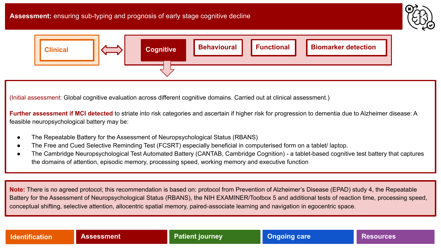

<span id="page-7-0"></span>

(Initial assessment: Global cognitive evaluation across different cognitive domains. Carried out at clinical assessment.)

**Further assessment if MCI detected** to striate into risk categories and ascertain if higher risk for progression to dementia due to Alzheimer disease: A feasible neuropsychological battery may be:

- The Repeatable Battery for the Assessment of Neuropsychological Status (RBANS)
- The Free and Cued Selective Reminding Test (FCSRT) especially beneficial in computerised form on a tablet/ laptop.
- The Cambridge Neuropsychological Test Automated Battery (CANTAB, Cambridge Cognition) a tablet-based cognitive test battery that captures the domains of attention, episodic memory, processing speed, working memory and executive function

**Note:** There is no agreed protocol; this recommendation is based on: protocol from Prevention of Alzheimer's Disease (EPAD) study 4, the Repeatable Battery for the Assessment of Neuropsychological Status (RBANS), the NIH EXAMINER/Toolbox 5 and additional tests of reaction time, processing speed, conceptual shifting, selective attention, allocentric spatial memory, paired-associate learning and navigation in egocentric space.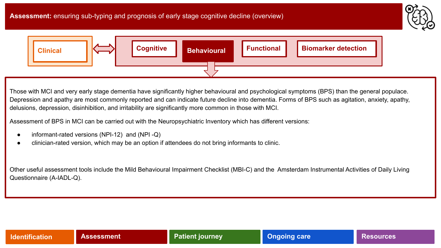

<span id="page-8-0"></span>

Those with MCI and very early stage dementia have significantly higher behavioural and psychological symptoms (BPS) than the general populace. Depression and apathy are most commonly reported and can indicate future decline into dementia. Forms of BPS such as agitation, anxiety, apathy, delusions, depression, disinhibition, and irritability are significantly more common in those with MCI.

Assessment of BPS in MCI can be carried out with the Neuropsychiatric Inventory which has different versions:

- informant-rated versions (NPI-12) and (NPI -Q)
- clinician-rated version, which may be an option if attendees do not bring informants to clinic.

Other useful assessment tools include the Mild Behavioural Impairment Checklist (MBI-C) and the Amsterdam Instrumental Activities of Daily Living Questionnaire (A-IADL-Q).

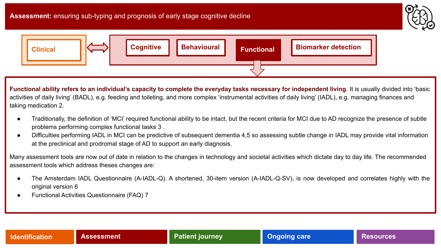

<span id="page-9-0"></span>

**Functional ability refers to an individual's capacity to complete the everyday tasks necessary for independent living**. It is usually divided into 'basic activities of daily living' (BADL), e.g. feeding and toileting, and more complex 'instrumental activities of daily living' (IADL), e.g. managing finances and taking medication 2.

- Traditionally, the definition of 'MCI' required functional ability to be intact, but the recent criteria for MCI due to AD recognize the presence of subtle problems performing complex functional tasks 3 .
- Difficulties performing IADL in MCI can be predictive of subsequent dementia 4,5 so assessing subtle change in IADL may provide vital information at the preclinical and prodromal stage of AD to support an early diagnosis.

Many assessment tools are now out of date in relation to the changes in technology and societal activities which dictate day to day life. The recommended assessment tools which address theses changes are:

- The Amsterdam IADL Questionnaire (A-IADL-Q). A shortened, 30-item version (A-IADL-Q-SV), is now developed and correlates highly with the original version 6
- Functional Activities Questionnaire (FAQ) 7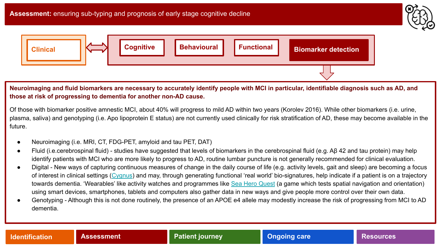

<span id="page-10-0"></span>

### **Neuroimaging and fluid biomarkers are necessary to accurately identify people with MCI in particular, identifiable diagnosis such as AD, and those at risk of progressing to dementia for another non-AD cause.**

Of those with biomarker positive amnestic MCI, about 40% will progress to mild AD within two years (Korolev 2016). While other biomarkers (i.e. urine, plasma, saliva) and genotyping (i.e. Apo lipoprotein E status) are not currently used clinically for risk stratification of AD, these may become available in the future.

- Neuroimaging (i.e. MRI, CT, FDG-PET, amyloid and tau PET, DAT)
- Fluid (i.e.cerebrospinal fluid) studies have suggested that levels of biomarkers in the cerebrospinal fluid (e.g. Aβ 42 and tau protein) may help identify patients with MCI who are more likely to progress to AD, routine lumbar puncture is not generally recommended for clinical evaluation.
- Digital New ways of capturing continuous measures of change in the daily course of life (e.g. activity levels, gait and sleep) are becoming a focus of interest in clinical settings [\(Cygnus](https://portal.dementiasplatform.uk/CohortDirectory/Item?fingerPrintID=Cygnus)) and may, through generating functional 'real world' bio-signatures, help indicate if a patient is on a trajectory towards dementia. 'Wearables' like activity watches and programmes like [Sea Hero Quest](http://www.seaheroquest.com/site/en/) (a game which tests spatial navigation and orientation) using smart devices, smartphones, tablets and computers also gather data in new ways and give people more control over their own data.
- Genotyping Although this is not done routinely, the presence of an APOE e4 allele may modestly increase the risk of progressing from MCI to AD dementia.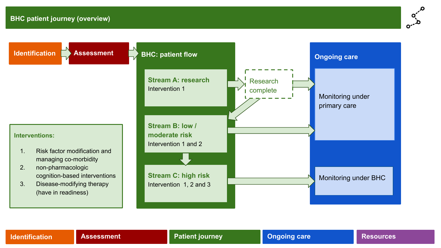

<span id="page-11-0"></span>

### **[Identification](#page-4-0) [Assessment](#page-6-0) Patient journey [Ongoing care](#page-16-0) Resources**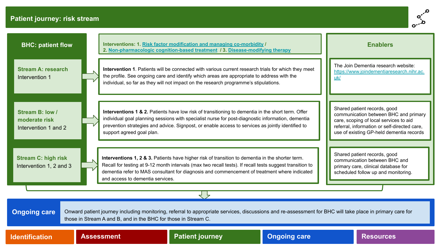### **Patient journey: risk stream**



| <b>BHC: patient flow</b>                                                                                                                                                                                                                          |                                                                                                                                                                                                                                                                                                                                                                                                                                                                                                 |                           | Interventions: 1. Risk factor modification and managing co-morbidity /<br>2. Non-pharmacologic cognition-based treatment / 3. Disease-modifying therapy                                                                                                                                                     |                     |                                                                                                                                                                                                             | <b>Enablers</b>                                                                  |
|---------------------------------------------------------------------------------------------------------------------------------------------------------------------------------------------------------------------------------------------------|-------------------------------------------------------------------------------------------------------------------------------------------------------------------------------------------------------------------------------------------------------------------------------------------------------------------------------------------------------------------------------------------------------------------------------------------------------------------------------------------------|---------------------------|-------------------------------------------------------------------------------------------------------------------------------------------------------------------------------------------------------------------------------------------------------------------------------------------------------------|---------------------|-------------------------------------------------------------------------------------------------------------------------------------------------------------------------------------------------------------|----------------------------------------------------------------------------------|
| <b>Stream A: research</b><br>Intervention 1                                                                                                                                                                                                       |                                                                                                                                                                                                                                                                                                                                                                                                                                                                                                 |                           | Intervention 1. Patients will be connected with various current research trials for which they meet<br>the profile. See ongoing care and identify which areas are appropriate to address with the<br>individual, so far as they will not impact on the research programme's stipulations.                   |                     | uk/                                                                                                                                                                                                         | The Join Dementia research website:<br>https://www.joindementiaresearch.nihr.ac. |
| Stream B: low /<br>moderate risk<br>Intervention 1 and 2                                                                                                                                                                                          |                                                                                                                                                                                                                                                                                                                                                                                                                                                                                                 | support agreed goal plan. | Interventions 1 & 2. Patients have low risk of transitioning to dementia in the short term. Offer<br>individual goal planning sessions with specialist nurse for post-diagnostic information, dementia<br>prevention strategies and advice. Signpost, or enable access to services as jointly identified to |                     | Shared patient records, good<br>communication between BHC and primary<br>care, scoping of local services to aid<br>referral, information or self-directed care,<br>use of existing GP-held dementia records |                                                                                  |
| <b>Stream C: high risk</b><br>Intervention 1, 2 and 3                                                                                                                                                                                             | Shared patient records, good<br>Interventions 1, 2 & 3. Patients have higher risk of transition to dementia in the shorter term.<br>communication between BHC and<br>Recall for testing at 9-12 month intervals (max two recall tests). If recall tests suggest transition to<br>primary care, clinical database for<br>dementia refer to MAS consultant for diagnosis and commencement of treatment where indicated<br>scheduled follow up and monitoring.<br>and access to dementia services. |                           |                                                                                                                                                                                                                                                                                                             |                     |                                                                                                                                                                                                             |                                                                                  |
|                                                                                                                                                                                                                                                   |                                                                                                                                                                                                                                                                                                                                                                                                                                                                                                 |                           |                                                                                                                                                                                                                                                                                                             |                     |                                                                                                                                                                                                             |                                                                                  |
| <b>Ongoing care</b><br>Onward patient journey including monitoring, referral to appropriate services, discussions and re-assessment for BHC will take place in primary care for<br>those in Stream A and B, and in the BHC for those in Stream C. |                                                                                                                                                                                                                                                                                                                                                                                                                                                                                                 |                           |                                                                                                                                                                                                                                                                                                             |                     |                                                                                                                                                                                                             |                                                                                  |
| <b>Identification</b>                                                                                                                                                                                                                             |                                                                                                                                                                                                                                                                                                                                                                                                                                                                                                 | <b>Assessment</b>         | <b>Patient journey</b>                                                                                                                                                                                                                                                                                      | <b>Ongoing care</b> |                                                                                                                                                                                                             | <b>Resources</b>                                                                 |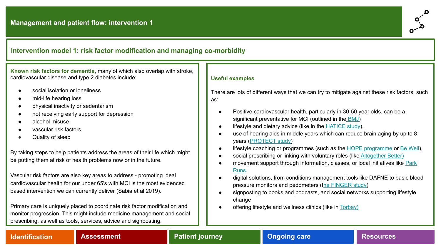### <span id="page-13-0"></span>**Intervention model 1: risk factor modification and managing co-morbidity**

**Known risk factors for dementia**, many of which also overlap with stroke, cardiovascular disease and type 2 diabetes include:

- social isolation or loneliness
- mid-life hearing loss
- physical inactivity or sedentarism
- not receiving early support for depression
- alcohol misuse
- vascular risk factors
- Quality of sleep

By taking steps to help patients address the areas of their life which might be putting them at risk of health problems now or in the future.

Vascular risk factors are also key areas to address - promoting ideal cardiovascular health for our under 65's with MCI is the most evidenced based intervention we can currently deliver (Sabia et al 2019).

Primary care is uniquely placed to coordinate risk factor modification and monitor progression. This might include medicine management and social prescribing, as well as tools, services, advice and signposting.

### **Useful examples**

There are lots of different ways that we can try to mitigate against these risk factors, such as:

- Positive cardiovascular health, particularly in 30-50 year olds, can be a significant preventative for MCI (outlined in the [BMJ](https://www.bmj.com/content/366/bmj.l4414))
- lifestyle and dietary advice (like in the [HATICE study](http://www.hatice.eu/)),
- use of hearing aids in middle years which can reduce brain aging by up to 8 years ([PROTECT study\)](https://www.sciencedaily.com/releases/2019/07/190715094910.htm)
- lifestyle coaching or programmes (such as the [HOPE programme](https://www.h4c.org.uk/hope-programme) or [Be Well](https://www.gmmh.nhs.uk/bewell)),
- social prescribing or linking with voluntary roles (like [Altogether Better\)](https://www.altogetherbetter.org.uk/)
- movement support through information, classes, or local initiatives like [Park](https://www.parkrun.com/) [Runs](https://www.parkrun.com/).
- digital solutions, from conditions management tools like DAFNE to basic blood pressure monitors and pedometers (t[he FINGER study\)](http://wwfingers.com/)
- signposting to books and podcasts, and social networks supporting lifestyle change
- offering lifestyle and wellness clinics (like in [Torbay\)](https://www.torbayculture.org/arts-and-health)

### **[Identification](#page-4-0) [Assessment](#page-6-0) [Patient journey](#page-11-0) [Ongoing care](#page-16-0) [Resources](#page-31-0)**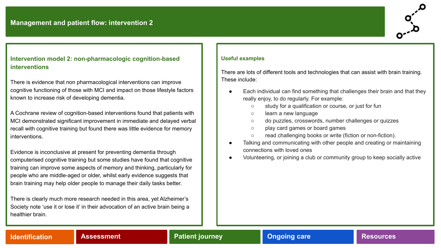### <span id="page-14-0"></span>**Intervention model 2: non-pharmacologic cognition-based interventions**

There is evidence that non pharmacological interventions can improve cognitive functioning of those with MCI and impact on those lifestyle factors known to increase risk of developing dementia.

A Cochrane review of cognition-based interventions found that patients with MCI demonstrated significant improvement in immediate and delayed verbal recall with cognitive training but found there was little evidence for memory interventions.

Evidence is inconclusive at present for preventing dementia through computerised cognitive training but some studies have found that cognitive training can improve some aspects of memory and thinking, particularly for people who are middle-aged or older, whilst early evidence suggests that brain training may help older people to manage their daily tasks better.

There is clearly much more research needed in this area, yet Alzheimer's Society note 'use it or lose it' in their advocation of an active brain being a healthier brain.

### **Useful examples**

There are lots of different tools and technologies that can assist with brain training. These include:

- Each individual can find something that challenges their brain and that they really enjoy, to do regularly. For example:
	- study for a qualification or course, or just for fun
	- learn a new language
	- do puzzles, crosswords, number challenges or quizzes
	- play card games or board games
	- read challenging books or write (fiction or non-fiction).
- Talking and communicating with other people and creating or maintaining connections with loved ones
- Volunteering, or joining a club or community group to keep socially active

### **[Identification](#page-4-0) [Assessment](#page-6-0) [Patient journey](#page-11-0) [Ongoing care](#page-16-0) [Resources](#page-32-0)**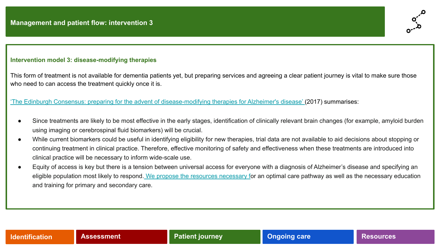### <span id="page-15-0"></span>**Intervention model 3: disease-modifying therapies**

This form of treatment is not available for dementia patients yet, but preparing services and agreeing a clear patient journey is vital to make sure those who need to can access the treatment quickly once it is.

### ['The Edinburgh Consensus: preparing for the advent of disease-modifying therapies for Alzheimer's disease' \(](https://www.ncbi.nlm.nih.gov/pubmed/29070066)2017) summarises:

- Since treatments are likely to be most effective in the early stages, identification of clinically relevant brain changes (for example, amyloid burden using imaging or cerebrospinal fluid biomarkers) will be crucial.
- While current biomarkers could be useful in identifying eligibility for new therapies, trial data are not available to aid decisions about stopping or continuing treatment in clinical practice. Therefore, effective monitoring of safety and effectiveness when these treatments are introduced into clinical practice will be necessary to inform wide-scale use.
- Equity of access is key but there is a tension between universal access for everyone with a diagnosis of Alzheimer's disease and specifying an eligible population most likely to respond[. We propose the resources necessary fo](https://www.ncbi.nlm.nih.gov/pubmed/29070066)r an optimal care pathway as well as the necessary education and training for primary and secondary care.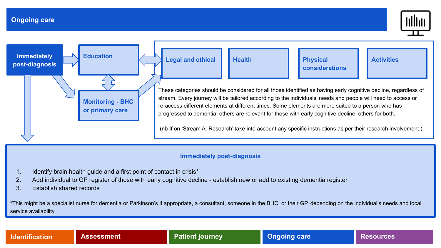

<span id="page-16-0"></span>

### **Immediately post-diagnosis**

- 1. Identify brain health guide and a first point of contact in crisis\*
- 2. Add individual to GP register of those with early cognitive decline establish new or add to existing dementia register
- 3. Establish shared records

\*This might be a specialist nurse for dementia or Parkinson's if appropriate, a consultant, someone in the BHC, or their GP, depending on the individual's needs and local service availability.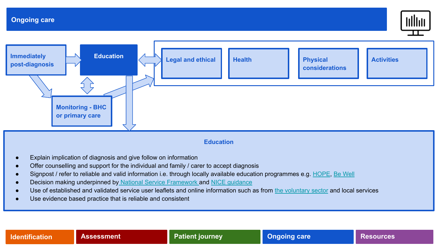

<span id="page-17-0"></span>

### **Education**

- Explain implication of diagnosis and give follow on information
- Offer counselling and support for the individual and family / carer to accept diagnosis
- Signpost / refer to reliable and valid information i.e. through locally available education programmes e.g. [HOPE](https://www.h4c.org.uk/hope-programme), [Be Well](https://www.gmmh.nhs.uk/bewell)
- Decision making underpinned b[y National Service Framework](https://www.gov.uk/government/publications/quality-standards-for-care-services-for-older-people) and [NICE guidance](https://www.nice.org.uk/guidance/ng97/chapter/Recommendations)
- Use of established and validated service user leaflets and online information such as from [the voluntary sector](https://www.alzheimers.org.uk/about-dementia/types-dementia/mild-cognitive-impairment-mci) and local services
- Use evidence based practice that is reliable and consistent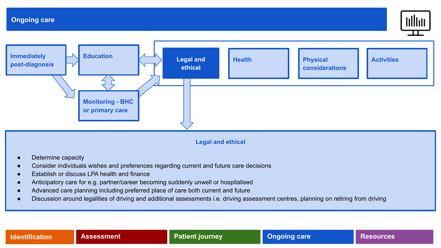

<span id="page-18-0"></span>

**Legal and ethical**

- Determine capacity
- Consider individuals wishes and preferences regarding current and future care decisions
- **Establish or discuss LPA health and finance**
- Anticipatory care for e.g. partner/career becoming suddenly unwell or hospitalised
- Advanced care planning including preferred place of care both current and future
- Discussion around legalities of driving and additional assessments i.e. driving assessment centres, planning on retiring from driving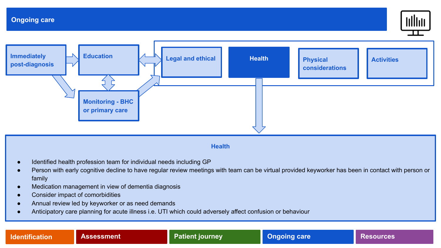

<span id="page-19-0"></span>

### **Health**

- Identified health profession team for individual needs including GP
- Person with early cognitive decline to have regular review meetings with team can be virtual provided keyworker has been in contact with person or family
- Medication management in view of dementia diagnosis
- Consider impact of comorbidities
- Annual review led by keyworker or as need demands
- Anticipatory care planning for acute illness i.e. UTI which could adversely affect confusion or behaviour

**[Identification](#page-4-0) [Assessment](#page-6-0) [Patient journey](#page-11-0) Patient in the Second Leapers** 

**[Resources](#page-33-0)**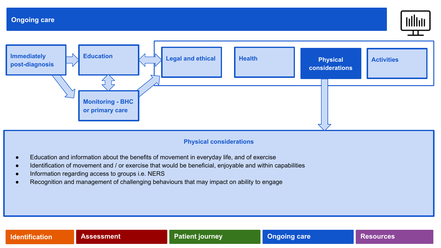

<span id="page-20-0"></span>

### **Physical considerations**

- Education and information about the benefits of movement in everyday life, and of exercise
- Identification of movement and / or exercise that would be beneficial, enjoyable and within capabilities
- Information regarding access to groups i.e. NERS
- Recognition and management of challenging behaviours that may impact on ability to engage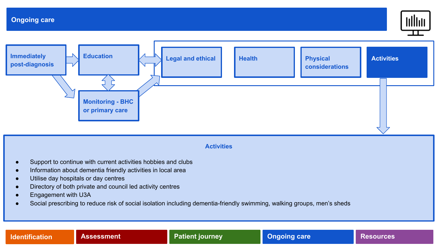

<span id="page-21-0"></span>

### **Activities**

- Support to continue with current activities hobbies and clubs
- Information about dementia friendly activities in local area
- Utilise day hospitals or day centres
- Directory of both private and council led activity centres
- Engagement with U3A
- Social prescribing to reduce risk of social isolation including dementia-friendly swimming, walking groups, men's sheds

**[Identification](#page-4-0) [Assessment](#page-6-0) [Patient journey](#page-11-0) Patient in the Second Leapers** 

**[Resources](#page-33-0)**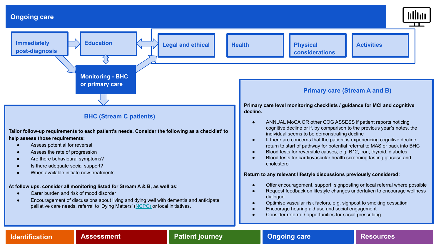<span id="page-22-0"></span>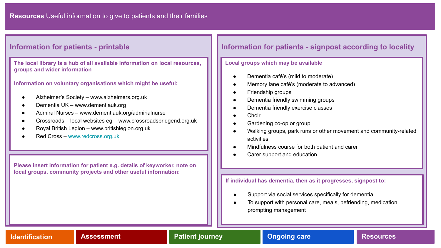**The local library is a hub of all available information on local resources, groups and wider information**

**Information on voluntary organisations which might be useful:**

- Alzheimer's Society www.alzheimers.org.uk
- Dementia UK www.dementiauk.org
- Admiral Nurses www.dementiauk.org/admirialnurse
- Crossroads local websites eg www.crossroadsbridgend.org.uk
- Royal British Legion www.britishlegion.org.uk
- Red Cross – [www.redcross.org.uk](http://www.redcross.org.uk)

**Please insert information for patient e.g. details of keyworker, note on local groups, community projects and other useful information:**

### <span id="page-23-0"></span>**Information for patients - printable Information for patients - signpost according to locality**

### **Local groups which may be available**

- Dementia café's (mild to moderate)
- Memory lane café's (moderate to advanced)
- Friendship groups
- Dementia friendly swimming groups
- Dementia friendly exercise classes
- Choir
- Gardening co-op or group
- Walking groups, park runs or other movement and community-related activities
- Mindfulness course for both patient and carer
- Carer support and education

### **If individual has dementia, then as it progresses, signpost to:**

- Support via social services specifically for dementia
- To support with personal care, meals, befriending, medication prompting management

**[Identification](#page-4-0) [Assessment](#page-6-0) [Patient journey](#page-11-0) [Ongoing care](#page-16-0) Resources**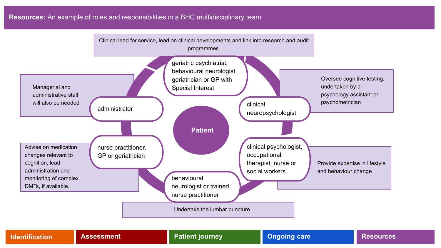### <span id="page-24-0"></span>**Resources:** An example of roles and responsibilities in a BHC multidisciplinary team



| <b>Identification</b> | <b>Assessment</b> | <b>Patient journey</b> | <b>Ongoing care</b> | <b>Resources</b> |
|-----------------------|-------------------|------------------------|---------------------|------------------|
|-----------------------|-------------------|------------------------|---------------------|------------------|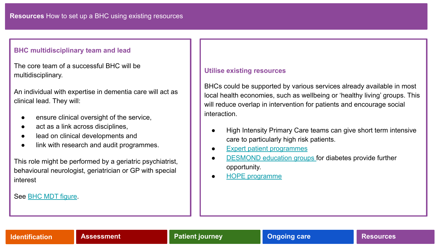### **BHC multidisciplinary team and lead**

The core team of a successful BHC will be multidisciplinary.

An individual with expertise in dementia care will act as clinical lead. They will:

- ensure clinical oversight of the service,
- act as a link across disciplines,
- lead on clinical developments and
- link with research and audit programmes.

This role might be performed by a geriatric psychiatrist, behavioural neurologist, geriatrician or GP with special interest

See [BHC MDT figure.](#page-24-0)

### **Utilise existing resources**

BHCs could be supported by various services already available in most local health economies, such as wellbeing or 'healthy living' groups. This will reduce overlap in intervention for patients and encourage social interaction.

- High Intensity Primary Care teams can give short term intensive care to particularly high risk patients.
- [Expert patient programmes](https://www.nice.org.uk/guidance/ph19/evidence/expert-paper-1-pdf-371292301)
- [DESMOND education groups](https://www.diabetes.co.uk/education/desmond.html) for diabetes provide further opportunity.
- **[HOPE programme](https://www.h4c.org.uk/hope-programme)**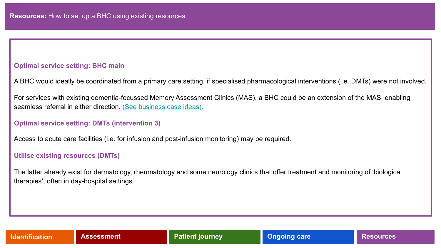### **Optimal service setting: BHC main**

A BHC would ideally be coordinated from a primary care setting, if specialised pharmacological interventions (i.e. DMTs) were not involved.

For services with existing dementia-focussed Memory Assessment Clinics (MAS), a BHC could be an extension of the MAS, enabling seamless referral in either direction. [\(See business case ideas\).](#page-27-0)

### **Optimal service setting: DMTs (intervention 3)**

Access to acute care facilities (i.e. for infusion and post-infusion monitoring) may be required.

### **Utilise existing resources (DMTs)**

The latter already exist for dermatology, rheumatology and some neurology clinics that offer treatment and monitoring of 'biological therapies', often in day-hospital settings.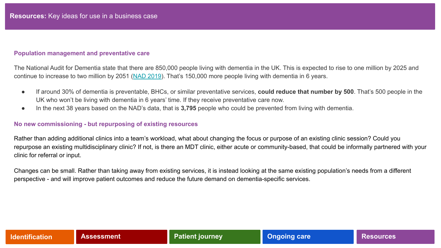### <span id="page-27-0"></span>**Population management and preventative care**

The National Audit for Dementia state that there are 850,000 people living with dementia in the UK. This is expected to rise to one million by 2025 and continue to increase to two million by 2051 [\(NAD 2019](https://www.rcpsych.ac.uk/improving-care/ccqi/national-clinical-audits/national-audit-of-dementia)). That's 150,000 more people living with dementia in 6 years.

- If around 30% of dementia is preventable, BHCs, or similar preventative services, **could reduce that number by 500**. That's 500 people in the UK who won't be living with dementia in 6 years' time. If they receive preventative care now.
- In the next 38 years based on the NAD's data, that is **3,795** people who could be prevented from living with dementia.

### **No new commissioning - but repurposing of existing resources**

Rather than adding additional clinics into a team's workload, what about changing the focus or purpose of an existing clinic session? Could you repurpose an existing multidisciplinary clinic? If not, is there an MDT clinic, either acute or community-based, that could be informally partnered with your clinic for referral or input.

Changes can be small. Rather than taking away from existing services, it is instead looking at the same existing population's needs from a different perspective - and will improve patient outcomes and reduce the future demand on dementia-specific services.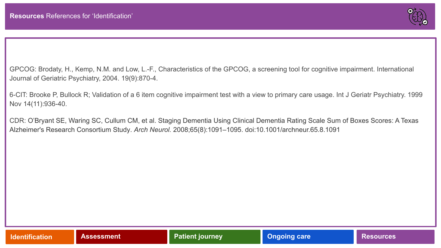

GPCOG: Brodaty, H., Kemp, N.M. and Low, L.-F.[, Characteristics of the GPCOG, a screening tool for cognitive impairment](http://gpcog.com.au/uploads/ckfinder/userfiles/files/Brodaty2004%20Characteristics%20of%20the%20GPCOG.pdf). International Journal of Geriatric Psychiatry, 2004. 19(9):870-4.

6-CIT: Brooke P, Bullock R; Validation of a 6 item cognitive impairment test with a view to primary care usage. Int J Geriatr Psychiatry. 1999 Nov 14(11):936-40.

CDR: O'Bryant SE, Waring SC, Cullum CM, et al. Staging Dementia Using Clinical Dementia Rating Scale Sum of Boxes Scores: A Texas Alzheimer's Research Consortium Study. *Arch Neurol.* 2008;65(8):1091–1095. doi:10.1001/archneur.65.8.1091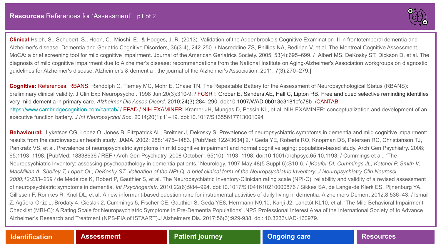

<span id="page-29-0"></span>**Clinical** Hsieh, S., Schubert, S., Hoon, C., Mioshi, E., & Hodges, J. R. (2013). Validation of the Addenbrooke's Cognitive Examination III in frontotemporal dementia and Alzheimer's disease. Dementia and Geriatric Cognitive Disorders, 36(3-4), 242-250. / Nasreddine ZS, Phillips NA, Bedirian V, et al. The Montreal Cognitive Assessment, MoCA: a brief screening tool for mild cognitive impairment. Journal of the American Geriatrics Society. 2005; 53(4):695–699. / Albert MS, DeKosky ST, Dickson D, et al. The diagnosis of mild cognitive impairment due to Alzheimer's disease: recommendations from the National Institute on Aging-Alzheimer's Association workgroups on diagnostic guidelines for Alzheimer's disease. Alzheimer's & dementia : the journal of the Alzheimer's Association. 2011; 7(3):270–279.]

**Cognitive:** References: RBANS: Randolph C, Tierney MC, Mohr E, Chase TN. The Repeatable Battery for the Assessment of Neuropsychological Status (RBANS): preliminary clinical validity. J Clin Exp Neuropsychol. 1998 Jun;20(3):310-9. / FCSRT: Grober E, Sanders AE, Hall C, Lipton RB. Free and cued selective reminding identifies very mild dementia in primary care. *Alzheimer Dis Assoc Disord*. 2010;24(3):284–290. doi:10.1097/WAD.0b013e3181cfc78b /CANTAB: <https://www.cambridgecognition.com/cantab/>/ EPAD / NIH EXAMINER: Kramer JH, Mungas D, Possin KL, et al. NIH EXAMINER: conceptualization and development of an executive function battery. *J Int Neuropsychol Soc*. 2014;20(1):11–19. doi:10.1017/S1355617713001094

**Behavioural:** Lyketsos CG, Lopez O, Jones B, Fitzpatrick AL, Breitner J, Dekosky S. Prevalence of neuropsychiatric symptoms in dementia and mild cognitive impairment: results from the cardiovascular health study. JAMA. 2002; 288:1475–1483. [PubMed: 12243634] 2. / Geda YE, Roberts RO, Knopman DS, Petersen RC, Christianson TJ, Pankratz VS, et al. Prevalence of neuropsychiatric symptoms in mild cognitive impairment and normal cognitive aging: population-based study. Arch Gen Psychiatry. 2008; 65:1193–1198. [PubMed: 18838636 / REF / Arch Gen Psychiatry. 2008 October ; 65(10): 1193–1198. doi:10.1001/archpsyc.65.10.1193. / Cummings et al., 'The Neuropsychiatric Inventory: assessing psychopathology in dementia patients.' Neurology. 1997 May;48(5 Suppl 6):S10-6. / *]Kaufer DI, Cummings JL, Ketchel P, Smith V, MacMillan A, Shelley T, Lopez OL, DeKosky ST. Validation of the NPI-Q, a brief clinical form of the Neuropsychiatric Inventory. J Neuropsychiatry Clin Neurosci 2000;12:233–239 /* de Medeiros K, Robert P, Gauthier S, et al. The Neuropsychiatric Inventory-Clinician rating scale (NPI-C): reliability and validity of a revised assessment of neuropsychiatric symptoms in dementia. *Int Psychogeriatr*. 2010;22(6):984–994. doi:10.1017/S1041610210000876 / Sikkes SA, de Lange-de Klerk ES, Pijnenburg YA, Gillissen F, Romkes R, Knol DL, et al. [A new informant-based questionnaire for instrumental activities of daily living in dementia.](https://www.ncbi.nlm.nih.gov/pubmed/23102123) Alzheimers Dement 2012;8:536-43. / Ismail Z, Agüera-Ortiz L, Brodaty 4, Cieslak 2, Cummings 5, Fischer CE, Gauthier S, Geda YE8, Herrmann N9,10, Kanji J2, Lanctôt KL10, et al, 'The Mild Behavioral Impairment Checklist (MBI-C): A Rating Scale for Neuropsychiatric Symptoms in Pre-Dementia Populations' .NPS Professional Interest Area of the International Society of to Advance Alzheimer's Research and Treatment (NPS-PIA of ISTAART).J Alzheimers Dis. 2017;56(3):929-938. doi: 10.3233/JAD-160979.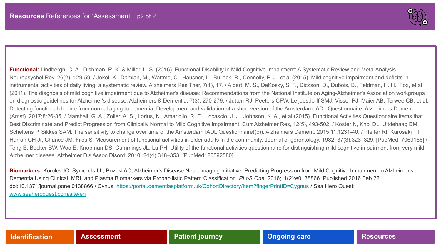

<span id="page-30-0"></span>**Functional:** Lindbergh, C. A., Dishman, R. K. & Miller, L. S. (2016). Functional Disability in Mild Cognitive Impairment: A Systematic Review and Meta-Analysis. Neuropsychol Rev, 26(2), 129-59. / Jekel, K., Damian, M., Wattmo, C., Hausner, L., Bullock, R., Connelly, P. J., et al (2015). Mild cognitive impairment and deficits in instrumental activities of daily living: a systematic review. Alzheimers Res Ther, 7(1), 17. / Albert, M. S., DeKosky, S. T., Dickson, D., Dubois, B., Feldman, H. H., Fox, et al (2011). The diagnosis of mild cognitive impairment due to Alzheimer's disease: Recommendations from the National Institute on Aging-Alzheimer's Association workgroups on diagnostic guidelines for Alzheimer's disease. Alzheimers & Dementia, 7(3), 270-279. / Jutten RJ, Peeters CFW, Leijdesdorff SMJ, Visser PJ, Maier AB, Terwee CB, et al. Detecting functional decline from normal aging to dementia: Development and validation of a short version of the Amsterdam IADL Questionnaire. Alzheimers Dement (Amst). 2017;8:26-35. / Marshall, G. A., Zoller, A. S., Lorius, N., Amariglio, R. E., Locascio, J. J., Johnson, K. A., et al (2015). Functional Activities Questionnaire Items that Best Discriminate and Predict Progression from Clinically Normal to Mild Cognitive Impairment. Curr Alzheimer Res, 12(5), 493-502. / Koster N, Knol DL, Uitdehaag BM, Scheltens P, Sikkes SAM. The sensitivity to change over time of the Amsterdam IADL Questionnaire((c)). Alzheimers Dement. 2015;11:1231-40. / Pfeffer RI, Kurosaki TT, Harrah CH Jr, Chance JM, Filos S. Measurement of functional activities in older adults in the community. Journal of gerontology. 1982; 37(3):323-329. [PubMed: 7069156] / Teng E, Becker BW, Woo E, Knopman DS, Cummings JL, Lu PH. Utility of the functional activities questionnaire for distinguishing mild cognitive impairment from very mild Alzheimer disease. Alzheimer Dis Assoc Disord. 2010; 24(4):348–353. [PubMed: 20592580]

**Biomarkers:** Korolev IO, Symonds LL, Bozoki AC; Alzheimer's Disease Neuroimaging Initiative. Predicting Progression from Mild Cognitive Impairment to Alzheimer's Dementia Using Clinical, MRI, and Plasma Biomarkers via Probabilistic Pattern Classification. *PLoS One*. 2016;11(2):e0138866. Published 2016 Feb 22. doi:10.1371/journal.pone.0138866 / Cynus:<https://portal.dementiasplatform.uk/CohortDirectory/Item?fingerPrintID=Cygnus>/ Sea Hero Quest: [www.seaheroquest.com/site/en](http://www.seaheroquest.com/site/en)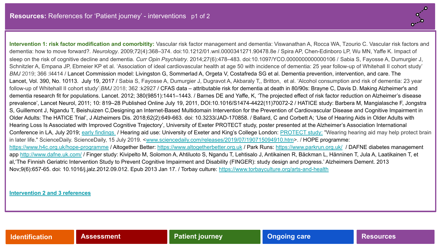

<span id="page-31-0"></span>**Intervention 1: risk factor modification and comorbitity:** Vascular risk factor management and dementia: Viswanathan A, Rocca WA, Tzourio C. Vascular risk factors and dementia: how to move forward?. *Neurology*. 2009;72(4):368–374. doi:10.1212/01.wnl.0000341271.90478.8e / Spira AP, Chen-Edinboro LP, Wu MN, Yaffe K. Impact of sleep on the risk of cognitive decline and dementia. *Curr Opin Psychiatry*. 2014;27(6):478–483. doi:10.1097/YCO.0000000000000106 / Sabia S, Fayosse A, Dumurgier J, Schnitzler A, Empana JP, Ebmeier KP et al. 'Association of ideal cardiovascular health at age 50 with incidence of dementia: 25 year follow-up of Whitehall II cohort study' *BMJ* 2019; 366 : 14414 / Lancet Commission model: Livingston G, Sommerlad A, Orgeta V, Costafreda SG et al. Dementia prevention, intervention, and care. The Lancet, Vol. 390, No. 10113. July 19, 2017 / Sabia S, Fayosse A, Dumurgier J, Dugravot A, Akbaraly T,, Britton, et al. 'Alcohol consumption and risk of dementia: 23 year follow-up of Whitehall II cohort study' *BMJ* 2018; 362 :k2927 / CFAS data – attributable risk for dementia at death in 80/90s: Brayne C, Davis D. Making Alzheimer's and dementia research fit for populations. Lancet. 2012; 380(9851):1441–1443. / Barnes DE and Yaffe, K, 'The projected effect of risk factor reduction on Alzheimer's disease prevalence', Lancet Neurol, 2011; 10: 819–28 Published Online July 19, 2011, DOI:10.1016/S1474-4422(11)70072-2 / HATICE study: Barbera M, Mangialasche F, Jongstra S, Guillemont J, Ngandu T, Beishuizen C,Designing an Internet-Based Multidomain Intervention for the Prevention of Cardiovascular Disease and Cognitive Impairment in Older Adults: The HATICE Trial', J Alzheimers Dis. 2018;62(2):649-663. doi: 10.3233/JAD-170858. / Ballard, C and Corbett A; 'Use of Hearing Aids in Older Adults with Hearing Loss Is Associated with Improved Cognitive Trajectory', University of Exeter PROTECT study, poster presented at the Alzheimer's Association International Conference in LA, July 2019; [early findings](https://www.exeter.ac.uk/news/featurednews/title_725112_en.html) / Hearing aid use: University of Exeter and King's College London: [PROTECT study:](http://protectstudy.org.uk/about.aspx) "Wearing hearing aid may help protect brain in later life." ScienceDaily. ScienceDaily, 15 July 2019. <[www.sciencedaily.com/releases/2019/07/190715094910.htm>](http://www.sciencedaily.com/releases/2019/07/190715094910.htm). / HOPE programme: <https://www.h4c.org.uk/hope-programme> / Altogether Better: [https://www.altogetherbetter.org.uk](https://www.altogetherbetter.org.uk/) / Park Runs:<https://www.parkrun.org.uk/> / DAFNE diabetes management app <http://www.dafne.uk.com/> / Finger study: Kivipelto M, Solomon A, Ahtiluoto S, Ngandu T, Lehtisalo J, Antikainen R, Bäckman L, Hänninen T, Jula A, Laatikainen T, et al,'The Finnish Geriatric Intervention Study to Prevent Cognitive Impairment and Disability (FINGER): study design and progress.' Alzheimers Dement. 2013 Nov;9(6):657-65. doi: 10.1016/j.jalz.2012.09.012. Epub 2013 Jan 17. / Torbay culture:<https://www.torbayculture.org/arts-and-health>

**[Intervention 2 and 3 references](#page-32-0)**

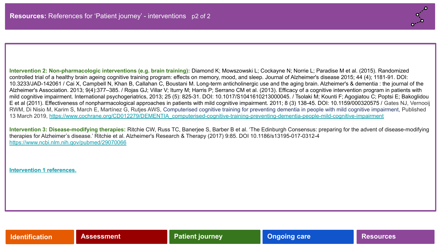<span id="page-32-0"></span>**Intervention 2: Non-pharmacologic interventions (e.g. brain training):** Diamond K; Mowszowski L; Cockayne N; Norrie L; Paradise M et al. (2015). Randomized controlled trial of a healthy brain ageing cognitive training program: effects on memory, mood, and sleep. Journal of Alzheimer's disease 2015; 44 (4); 1181-91. DOI: 10.3233/JAD-142061 / Cai X, Campbell N, Khan B, Callahan C, Boustani M. Long-term anticholinergic use and the aging brain. Alzheimer's & dementia : the journal of the Alzheimer's Association. 2013; 9(4):377–385. / Rojas GJ; Villar V; Iturry M; Harris P; Serrano CM et al. (2013). Efficacy of a cognitive intervention program in patients with mild cognitive impairment. International psychogeriatrics, 2013; 25 (5): 825-31. DOI: 10.1017/S1041610213000045. / Tsolaki M; Kounti F; Agogiatou C; Poptsi E; Bakoglidou E et al (2011). Effectiveness of nonpharmacological approaches in patients with mild cognitive impairment. 2011; 8 (3) 138-45. DOI: 10.1159/000320575 / Gates NJ, Vernooij RWM, Di Nisio M, Karim S, March E, Martínez G, Rutjes AWS, Computerised cognitive training for preventing dementia in people with mild cognitive impairment, Published 13 March 2019, [https://www.cochrane.org/CD012279/DEMENTIA\\_computerised-cognitive-training-preventing-dementia-people-mild-cognitive-impairment](https://www.cochrane.org/CD012279/DEMENTIA_computerised-cognitive-training-preventing-dementia-people-mild-cognitive-impairment)

**Intervention 3: Disease-modifying therapies:** Ritchie CW, Russ TC, Banerjee S, Barber B et al. 'The Edinburgh Consensus: preparing for the advent of disease-modifying therapies for Alzheimer's disease.' Ritchie et al. Alzheimer's Research & Therapy (2017) 9:85. DOI 10.1186/s13195-017-0312-4 <https://www.ncbi.nlm.nih.gov/pubmed/29070066>

**[Intervention 1 references.](#page-31-0)**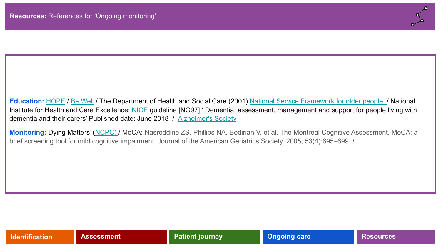

<span id="page-33-0"></span>**Education:** [HOPE](https://www.h4c.org.uk/hope-programme) / [Be Well](https://www.gmmh.nhs.uk/bewell) / The Department of Health and Social Care (2001) [National Service Framework for older people](https://www.gov.uk/government/publications/quality-standards-for-care-services-for-older-people) / National Institute for Health and Care Excellence: [NICE g](https://www.nice.org.uk/guidance/ng97/chapter/Recommendations)uideline [NG97] 'Dementia: assessment, management and support for people living with dementia and their carers' Published date: June 2018 / [Alzheimer's Society](https://www.alzheimers.org.uk/about-dementia/types-dementia/mild-cognitive-impairment-mci)

**Monitoring:** Dying Matters' [\(NCPC\)](https://www.dyingmatters.org/) / MoCA: Nasreddine ZS, Phillips NA, Bedirian V, et al. The Montreal Cognitive Assessment, MoCA: a brief screening tool for mild cognitive impairment. Journal of the American Geriatrics Society. 2005; 53(4):695–699. /

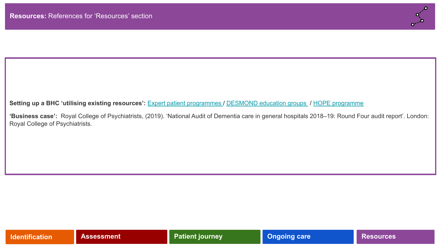

### Setting up a BHC 'utilising existing resources': **[Expert patient programmes](https://www.nice.org.uk/guidance/ph19/evidence/expert-paper-1-pdf-371292301) / [DESMOND education groups](https://www.diabetes.co.uk/education/desmond.html) / [HOPE programme](https://www.h4c.org.uk/hope-programme)**

**'Business case':** Royal College of Psychiatrists, (2019). 'National Audit of Dementia care in general hospitals 2018–19: Round Four audit report'. London: Royal College of Psychiatrists.

| <b>Identification</b> | <b>Assessment</b> | <b>Patient journey</b> | <b>Ongoing care</b> | <b>Resources</b> |
|-----------------------|-------------------|------------------------|---------------------|------------------|
|-----------------------|-------------------|------------------------|---------------------|------------------|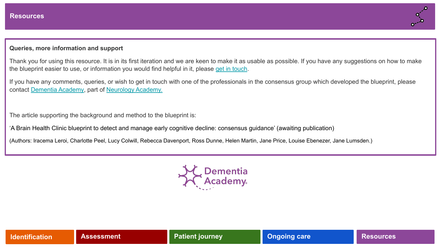

### **Queries, more information and support**

Thank you for using this resource. It is in its first iteration and we are keen to make it as usable as possible. If you have any suggestions on how to make the blueprint easier to use, or information you would find helpful in it, please [get in touch.](mailto:info@neurologyacademy.org)

If you have any comments, queries, or wish to get in touch with one of the professionals in the consensus group which developed the blueprint, please contact [Dementia Academy](https://dementiaacademy.co/), part of [Neurology Academy.](https://neurologyacademy.org/)

The article supporting the background and method to the blueprint is:

'A Brain Health Clinic blueprint to detect and manage early cognitive decline: consensus guidance' (awaiting publication)

(Authors: Iracema Leroi, Charlotte Peel, Lucy Colwill, Rebecca Davenport, Ross Dunne, Helen Martin, Jane Price, Louise Ebenezer, Jane Lumsden.)



| <b>Identification</b> | <b>Assessment</b> | <b>Patient journey</b> | <b>Ongoing care</b> | <b>Resources</b> |
|-----------------------|-------------------|------------------------|---------------------|------------------|
|-----------------------|-------------------|------------------------|---------------------|------------------|